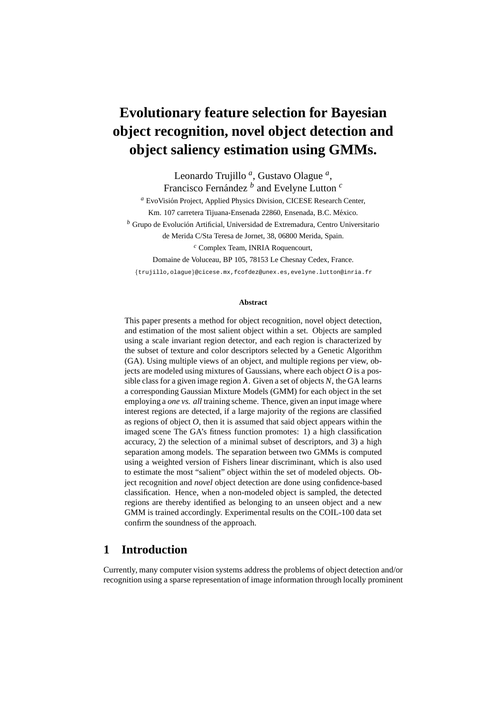# **Evolutionary feature selection for Bayesian object recognition, novel object detection and object saliency estimation using GMMs.**

Leonardo Trujillo *<sup>a</sup>* , Gustavo Olague *<sup>a</sup>* , Francisco Fernández  $^b$  and Evelyne Lutton  $^c$ 

*a* EvoVisión Project, Applied Physics Division, CICESE Research Center, Km. 107 carretera Tijuana-Ensenada 22860, Ensenada, B.C. México. <sup>*b*</sup> Grupo de Evolución Artificial, Universidad de Extremadura, Centro Universitario de Merida C/Sta Teresa de Jornet, 38, 06800 Merida, Spain. *<sup>c</sup>* Complex Team, INRIA Roquencourt, Domaine de Voluceau, BP 105, 78153 Le Chesnay Cedex, France.

{trujillo,olague}@cicese.mx,fcofdez@unex.es,evelyne.lutton@inria.fr

### **Abstract**

This paper presents a method for object recognition, novel object detection, and estimation of the most salient object within a set. Objects are sampled using a scale invariant region detector, and each region is characterized by the subset of texture and color descriptors selected by a Genetic Algorithm (GA). Using multiple views of an object, and multiple regions per view, objects are modeled using mixtures of Gaussians, where each object *O* is a possible class for a given image region  $\lambda$ . Given a set of objects N, the GA learns a corresponding Gaussian Mixture Models (GMM) for each object in the set employing a *one vs. all* training scheme. Thence, given an input image where interest regions are detected, if a large majority of the regions are classified as regions of object *O*, then it is assumed that said object appears within the imaged scene The GA's fitness function promotes: 1) a high classification accuracy, 2) the selection of a minimal subset of descriptors, and 3) a high separation among models. The separation between two GMMs is computed using a weighted version of Fishers linear discriminant, which is also used to estimate the most "salient" object within the set of modeled objects. Object recognition and *novel* object detection are done using confidence-based classification. Hence, when a non-modeled object is sampled, the detected regions are thereby identified as belonging to an unseen object and a new GMM is trained accordingly. Experimental results on the COIL-100 data set confirm the soundness of the approach.

## **1 Introduction**

Currently, many computer vision systems address the problems of object detection and/or recognition using a sparse representation of image information through locally prominent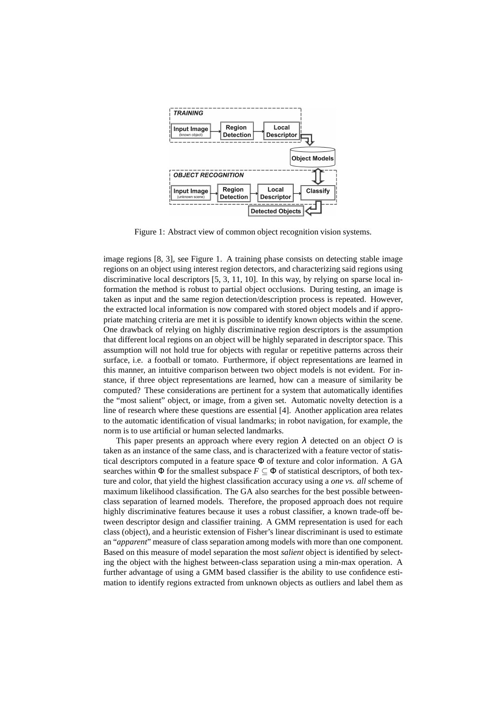

Figure 1: Abstract view of common object recognition vision systems.

image regions [8, 3], see Figure 1. A training phase consists on detecting stable image regions on an object using interest region detectors, and characterizing said regions using discriminative local descriptors [5, 3, 11, 10]. In this way, by relying on sparse local information the method is robust to partial object occlusions. During testing, an image is taken as input and the same region detection/description process is repeated. However, the extracted local information is now compared with stored object models and if appropriate matching criteria are met it is possible to identify known objects within the scene. One drawback of relying on highly discriminative region descriptors is the assumption that different local regions on an object will be highly separated in descriptor space. This assumption will not hold true for objects with regular or repetitive patterns across their surface, i.e. a football or tomato. Furthermore, if object representations are learned in this manner, an intuitive comparison between two object models is not evident. For instance, if three object representations are learned, how can a measure of similarity be computed? These considerations are pertinent for a system that automatically identifies the "most salient" object, or image, from a given set. Automatic novelty detection is a line of research where these questions are essential [4]. Another application area relates to the automatic identification of visual landmarks; in robot navigation, for example, the norm is to use artificial or human selected landmarks.

This paper presents an approach where every region  $\lambda$  detected on an object O is taken as an instance of the same class, and is characterized with a feature vector of statistical descriptors computed in a feature space  $\Phi$  of texture and color information. A GA searches within  $\Phi$  for the smallest subspace  $F \subseteq \Phi$  of statistical descriptors, of both texture and color, that yield the highest classification accuracy using a *one vs. all* scheme of maximum likelihood classification. The GA also searches for the best possible betweenclass separation of learned models. Therefore, the proposed approach does not require highly discriminative features because it uses a robust classifier, a known trade-off between descriptor design and classifier training. A GMM representation is used for each class (object), and a heuristic extension of Fisher's linear discriminant is used to estimate an "*apparent*" measure of class separation among models with more than one component. Based on this measure of model separation the most *salient* object is identified by selecting the object with the highest between-class separation using a min-max operation. A further advantage of using a GMM based classifier is the ability to use confidence estimation to identify regions extracted from unknown objects as outliers and label them as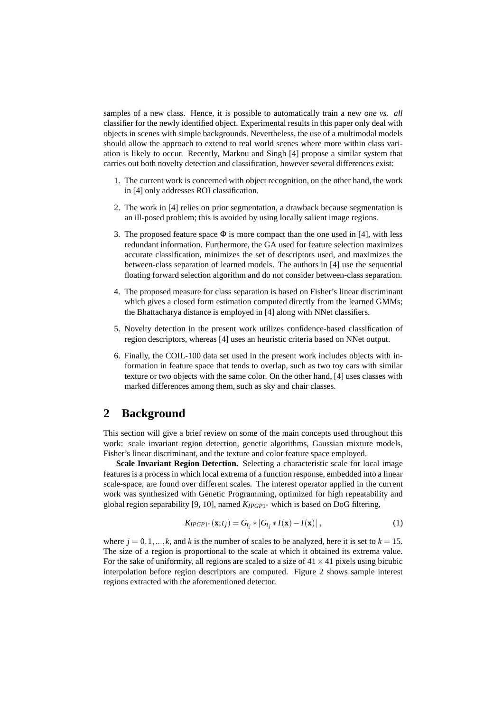samples of a new class. Hence, it is possible to automatically train a new *one vs. all* classifier for the newly identified object. Experimental results in this paper only deal with objects in scenes with simple backgrounds. Nevertheless, the use of a multimodal models should allow the approach to extend to real world scenes where more within class variation is likely to occur. Recently, Markou and Singh [4] propose a similar system that carries out both novelty detection and classification, however several differences exist:

- 1. The current work is concerned with object recognition, on the other hand, the work in [4] only addresses ROI classification.
- 2. The work in [4] relies on prior segmentation, a drawback because segmentation is an ill-posed problem; this is avoided by using locally salient image regions.
- 3. The proposed feature space  $\Phi$  is more compact than the one used in [4], with less redundant information. Furthermore, the GA used for feature selection maximizes accurate classification, minimizes the set of descriptors used, and maximizes the between-class separation of learned models. The authors in [4] use the sequential floating forward selection algorithm and do not consider between-class separation.
- 4. The proposed measure for class separation is based on Fisher's linear discriminant which gives a closed form estimation computed directly from the learned GMMs; the Bhattacharya distance is employed in [4] along with NNet classifiers.
- 5. Novelty detection in the present work utilizes confidence-based classification of region descriptors, whereas [4] uses an heuristic criteria based on NNet output.
- 6. Finally, the COIL-100 data set used in the present work includes objects with information in feature space that tends to overlap, such as two toy cars with similar texture or two objects with the same color. On the other hand, [4] uses classes with marked differences among them, such as sky and chair classes.

# **2 Background**

This section will give a brief review on some of the main concepts used throughout this work: scale invariant region detection, genetic algorithms, Gaussian mixture models, Fisher's linear discriminant, and the texture and color feature space employed.

**Scale Invariant Region Detection.** Selecting a characteristic scale for local image features is a process in which local extrema of a function response, embedded into a linear scale-space, are found over different scales. The interest operator applied in the current work was synthesized with Genetic Programming, optimized for high repeatability and global region separability [9, 10], named *KIPGP*<sup>1</sup> <sup>∗</sup> which is based on DoG filtering,

$$
K_{IPGP1^*}(\mathbf{x};t_j) = G_{t_j} * |G_{t_j} * I(\mathbf{x}) - I(\mathbf{x})|,
$$
\n(1)

where  $j = 0, 1, \dots, k$ , and k is the number of scales to be analyzed, here it is set to  $k = 15$ . The size of a region is proportional to the scale at which it obtained its extrema value. For the sake of uniformity, all regions are scaled to a size of  $41 \times 41$  pixels using bicubic interpolation before region descriptors are computed. Figure 2 shows sample interest regions extracted with the aforementioned detector.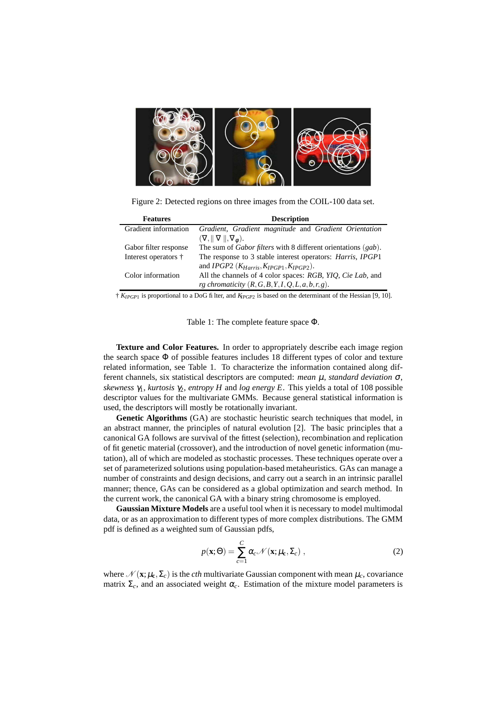

Figure 2: Detected regions on three images from the COIL-100 data set.

| <b>Features</b>       | <b>Description</b>                                                         |  |  |  |  |
|-----------------------|----------------------------------------------------------------------------|--|--|--|--|
| Gradient information  | Gradient, Gradient magnitude and Gradient Orientation                      |  |  |  |  |
|                       | $(\nabla, \ \nabla\ , \nabla_{\phi}).$                                     |  |  |  |  |
| Gabor filter response | The sum of <i>Gabor filters</i> with 8 different orientations (gab).       |  |  |  |  |
| Interest operators †  | The response to 3 stable interest operators: <i>Harris</i> , <i>IPGP</i> 1 |  |  |  |  |
|                       | and <i>IPGP2</i> ( $K_{Harris}$ , $K_{IPGP1}$ , $K_{IPGP2}$ ).             |  |  |  |  |
| Color information     | All the channels of 4 color spaces: RGB, YIQ, Cie Lab, and                 |  |  |  |  |
|                       | rg chromaticity $(R, G, B, Y, I, Q, L, a, b, r, g)$ .                      |  |  |  |  |

† *KIPGP*<sup>1</sup> is proportional to a DoG filter, and *KIPGP*<sup>2</sup> is based on the determinant of the Hessian [9, 10].

#### Table 1: The complete feature space Φ.

**Texture and Color Features.** In order to appropriately describe each image region the search space Φ of possible features includes 18 different types of color and texture related information, see Table 1. To characterize the information contained along different channels, six statistical descriptors are computed: *mean* µ, *standard deviation* <sup>σ</sup>, *skewness*  $\gamma_1$ *, kurtosis*  $\gamma_2$ *, entropy H* and *log energy E*. This yields a total of 108 possible descriptor values for the multivariate GMMs. Because general statistical information is used, the descriptors will mostly be rotationally invariant.

**Genetic Algorithms** (GA) are stochastic heuristic search techniques that model, in an abstract manner, the principles of natural evolution [2]. The basic principles that a canonical GA follows are survival of the fittest (selection), recombination and replication of fit genetic material (crossover), and the introduction of novel genetic information (mutation), all of which are modeled as stochastic processes. These techniques operate over a set of parameterized solutions using population-based metaheuristics. GAs can manage a number of constraints and design decisions, and carry out a search in an intrinsic parallel manner; thence, GAs can be considered as a global optimization and search method. In the current work, the canonical GA with a binary string chromosome is employed.

**Gaussian Mixture Models** are a useful tool when it is necessary to model multimodal data, or as an approximation to different types of more complex distributions. The GMM pdf is defined as a weighted sum of Gaussian pdfs,

$$
p(\mathbf{x}; \Theta) = \sum_{c=1}^{C} \alpha_c \mathcal{N}(\mathbf{x}; \mu_{\mathbf{c}}, \Sigma_c), \qquad (2)
$$

where  $\mathcal{N}(\mathbf{x};\mu_{\mathbf{c}},\Sigma_c)$  is the *cth* multivariate Gaussian component with mean  $\mu_c$ , covariance matrix  $\Sigma_c$ , and an associated weight  $\alpha_c$ . Estimation of the mixture model parameters is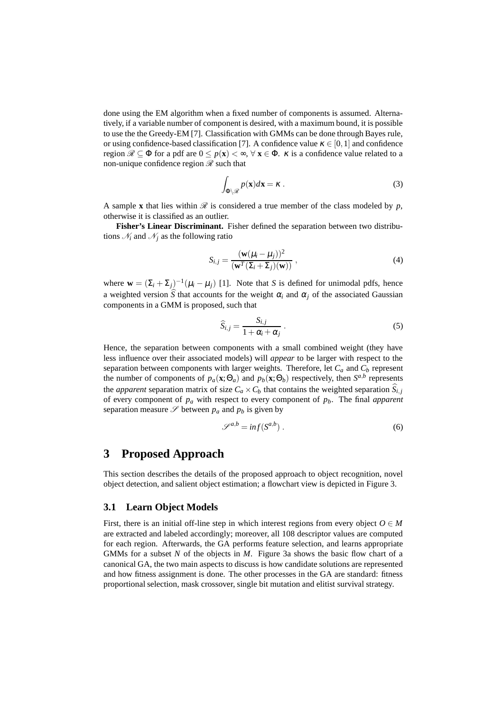done using the EM algorithm when a fixed number of components is assumed. Alternatively, if a variable number of component is desired, with a maximum bound, it is possible to use the the Greedy-EM [7]. Classification with GMMs can be done through Bayes rule, or using confidence-based classification [7]. A confidence value  $\kappa \in [0,1]$  and confidence region  $\mathcal{R} \subset \Phi$  for a pdf are  $0 \leq p(\mathbf{x}) \leq \infty$ ,  $\forall \mathbf{x} \in \Phi$ .  $\kappa$  is a confidence value related to a non-unique confidence region  $\mathcal R$  such that

$$
\int_{\Phi \setminus \mathscr{R}} p(\mathbf{x}) d\mathbf{x} = \kappa \,. \tag{3}
$$

A sample **x** that lies within  $\mathcal{R}$  is considered a true member of the class modeled by  $p$ , otherwise it is classified as an outlier.

**Fisher's Linear Discriminant.** Fisher defined the separation between two distributions  $\mathcal{N}_i$  and  $\mathcal{N}_j$  as the following ratio

$$
S_{i,j} = \frac{(\mathbf{w}(\mu_i - \mu_j))^2}{(\mathbf{w}^T (\Sigma_i + \Sigma_j)(\mathbf{w}))},
$$
\n(4)

where  $\mathbf{w} = (\Sigma_i + \Sigma_j)^{-1} (\mu_i - \mu_j)$  [1]. Note that *S* is defined for unimodal pdfs, hence a weighted version  $\hat{S}$  that accounts for the weight  $\alpha_i$  and  $\alpha_j$  of the associated Gaussian components in a GMM is proposed, such that

$$
\widehat{S}_{i,j} = \frac{S_{i,j}}{1 + \alpha_i + \alpha_j} \ . \tag{5}
$$

Hence, the separation between components with a small combined weight (they have less influence over their associated models) will *appear* to be larger with respect to the separation between components with larger weights. Therefore, let  $C_a$  and  $C_b$  represent the number of components of  $p_a(\mathbf{x}; \Theta_a)$  and  $p_b(\mathbf{x}; \Theta_b)$  respectively, then  $S^{a,b}$  represents the *apparent* separation matrix of size  $C_a \times C_b$  that contains the weighted separation  $\hat{S}_{i,j}$ of every component of *p<sup>a</sup>* with respect to every component of *pb*. The final *apparent* separation measure  $\mathscr S$  between  $p_a$  and  $p_b$  is given by

$$
\mathscr{S}^{a,b} = \inf(\mathcal{S}^{a,b})\,. \tag{6}
$$

## **3 Proposed Approach**

This section describes the details of the proposed approach to object recognition, novel object detection, and salient object estimation; a flowchart view is depicted in Figure 3.

## **3.1 Learn Object Models**

First, there is an initial off-line step in which interest regions from every object  $O \in M$ are extracted and labeled accordingly; moreover, all 108 descriptor values are computed for each region. Afterwards, the GA performs feature selection, and learns appropriate GMMs for a subset *N* of the objects in *M*. Figure 3a shows the basic flow chart of a canonical GA, the two main aspects to discuss is how candidate solutions are represented and how fitness assignment is done. The other processes in the GA are standard: fitness proportional selection, mask crossover, single bit mutation and elitist survival strategy.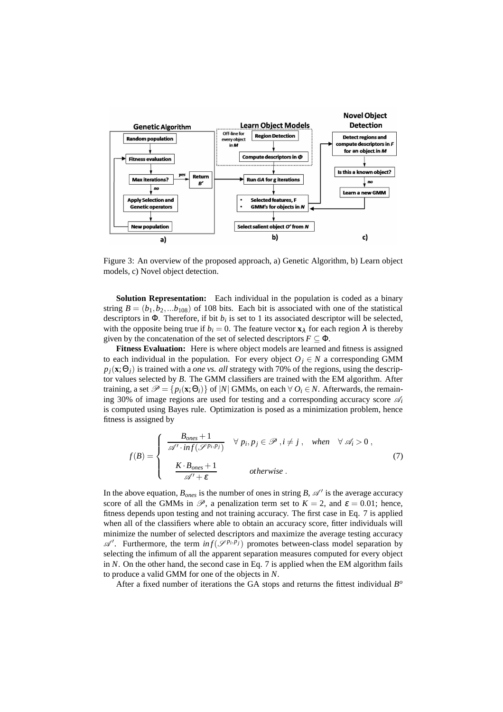

Figure 3: An overview of the proposed approach, a) Genetic Algorithm, b) Learn object models, c) Novel object detection.

**Solution Representation:** Each individual in the population is coded as a binary string  $B = (b_1, b_2, \ldots, b_{108})$  of 108 bits. Each bit is associated with one of the statistical descriptors in  $\Phi$ . Therefore, if bit  $b_i$  is set to 1 its associated descriptor will be selected, with the opposite being true if  $b_i = 0$ . The feature vector  $\mathbf{x}_{\lambda}$  for each region  $\lambda$  is thereby given by the concatenation of the set of selected descriptors  $F \subseteq \Phi$ .

**Fitness Evaluation:** Here is where object models are learned and fitness is assigned to each individual in the population. For every object  $O_i \in N$  a corresponding GMM  $p_j(\mathbf{x};\Theta_j)$  is trained with a *one vs. all* strategy with 70% of the regions, using the descriptor values selected by *B*. The GMM classifiers are trained with the EM algorithm. After training, a set  $\mathcal{P} = \{p_i(\mathbf{x}; \Theta_i)\}\$  of |*N*| GMMs, on each  $\forall O_i \in N$ . Afterwards, the remaining 30% of image regions are used for testing and a corresponding accuracy score  $\mathscr{A}_i$ is computed using Bayes rule. Optimization is posed as a minimization problem, hence fitness is assigned by

$$
f(B) = \begin{cases} \frac{B_{ones} + 1}{\mathscr{A}' \cdot inf(\mathscr{S}^{p_i, p_j})} & \forall p_i, p_j \in \mathscr{P}, i \neq j, \quad when \quad \forall \mathscr{A}_i > 0, \\ \frac{K \cdot B_{ones} + 1}{\mathscr{A}' + \varepsilon} & otherwise. \end{cases}
$$
(7)

In the above equation,  $B_{ones}$  is the number of ones in string  $B$ ,  $\mathscr{A}'$  is the average accuracy score of all the GMMs in  $\mathcal{P}$ , a penalization term set to  $K = 2$ , and  $\varepsilon = 0.01$ ; hence, fitness depends upon testing and not training accuracy. The first case in Eq. 7 is applied when all of the classifiers where able to obtain an accuracy score, fitter individuals will minimize the number of selected descriptors and maximize the average testing accuracy  $\mathscr{A}'$ . Furthermore, the term  $inf(\mathscr{S}^{p_i,p_j})$  promotes between-class model separation by selecting the infimum of all the apparent separation measures computed for every object in *N*. On the other hand, the second case in Eq. 7 is applied when the EM algorithm fails to produce a valid GMM for one of the objects in *N*.

After a fixed number of iterations the GA stops and returns the fittest individual *B o*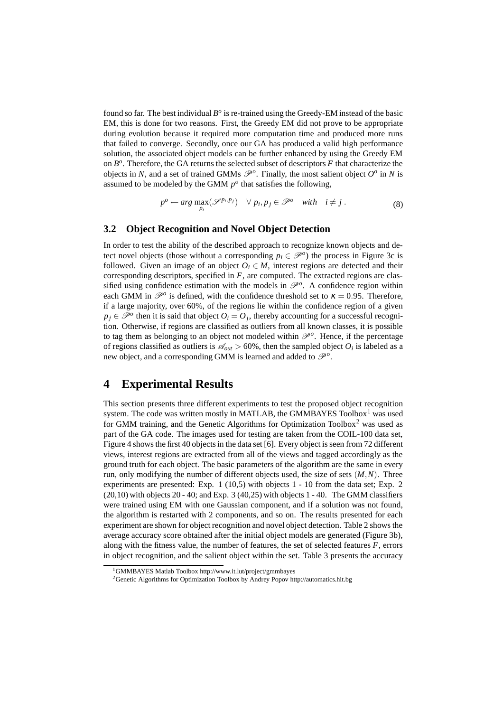found so far. The best individual  $B^o$  is re-trained using the Greedy-EM instead of the basic EM, this is done for two reasons. First, the Greedy EM did not prove to be appropriate during evolution because it required more computation time and produced more runs that failed to converge. Secondly, once our GA has produced a valid high performance solution, the associated object models can be further enhanced by using the Greedy EM on  $B^o$ . Therefore, the GA returns the selected subset of descriptors  $F$  that characterize the objects in *N*, and a set of trained GMMs  $\mathcal{P}^o$ . Finally, the most salient object  $O^o$  in *N* is assumed to be modeled by the GMM  $p<sup>o</sup>$  that satisfies the following,

$$
p^{o} \leftarrow \arg \max_{p_{i}} (\mathscr{S}^{p_{i}, p_{j}}) \quad \forall \ p_{i}, p_{j} \in \mathscr{P}^{o} \quad \text{with} \quad i \neq j \,.
$$
 (8)

## **3.2 Object Recognition and Novel Object Detection**

In order to test the ability of the described approach to recognize known objects and detect novel objects (those without a corresponding  $p_i \in \mathcal{P}^o$ ) the process in Figure 3c is followed. Given an image of an object  $O_i \in M$ , interest regions are detected and their corresponding descriptors, specified in *F*, are computed. The extracted regions are classified using confidence estimation with the models in  $\mathcal{P}^o$ . A confidence region within each GMM in  $\mathcal{P}^o$  is defined, with the confidence threshold set to  $\kappa = 0.95$ . Therefore, if a large majority, over 60%, of the regions lie within the confidence region of a given  $p_j \in \mathcal{P}^o$  then it is said that object  $O_i = O_j$ , thereby accounting for a successful recognition. Otherwise, if regions are classified as outliers from all known classes, it is possible to tag them as belonging to an object not modeled within  $\mathcal{P}^o$ . Hence, if the percentage of regions classified as outliers is  $\mathcal{A}_{out} > 60\%$ , then the sampled object  $O_i$  is labeled as a new object, and a corresponding GMM is learned and added to  $\mathcal{P}^o$ .

# **4 Experimental Results**

This section presents three different experiments to test the proposed object recognition system. The code was written mostly in MATLAB, the GMMBAYES  $Toolbox<sup>1</sup>$  was used for GMM training, and the Genetic Algorithms for Optimization Toolbox<sup>2</sup> was used as part of the GA code. The images used for testing are taken from the COIL-100 data set, Figure 4 shows the first 40 objects in the data set [6]. Every object is seen from 72 different views, interest regions are extracted from all of the views and tagged accordingly as the ground truth for each object. The basic parameters of the algorithm are the same in every run, only modifying the number of different objects used, the size of sets (*M*,*N*). Three experiments are presented: Exp. 1 (10,5) with objects 1 - 10 from the data set; Exp. 2  $(20,10)$  with objects  $20 - 40$ ; and Exp. 3  $(40,25)$  with objects 1 - 40. The GMM classifiers were trained using EM with one Gaussian component, and if a solution was not found, the algorithm is restarted with 2 components, and so on. The results presented for each experiment are shown for object recognition and novel object detection. Table 2 shows the average accuracy score obtained after the initial object models are generated (Figure 3b), along with the fitness value, the number of features, the set of selected features  $F$ , errors in object recognition, and the salient object within the set. Table 3 presents the accuracy

<sup>1</sup>GMMBAYES Matlab Toolbox http://www.it.lut/project/gmmbayes

<sup>2</sup>Genetic Algorithms for Optimization Toolbox by Andrey Popov http://automatics.hit.bg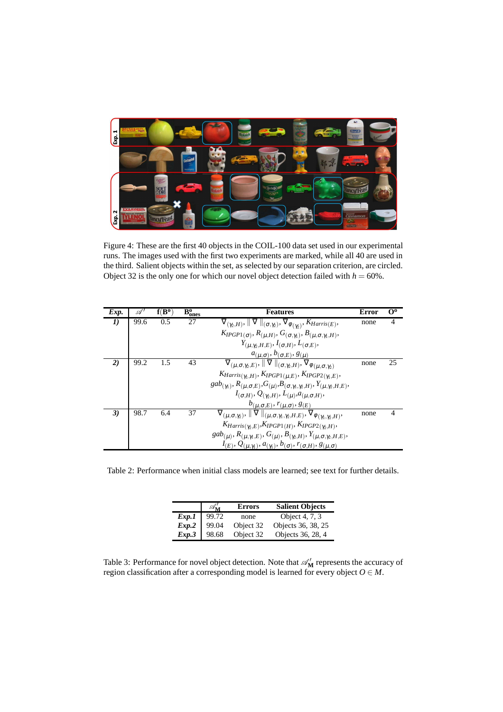

Figure 4: These are the first 40 objects in the COIL-100 data set used in our experimental runs. The images used with the first two experiments are marked, while all 40 are used in the third. Salient objects within the set, as selected by our separation criterion, are circled. Object 32 is the only one for which our novel object detection failed with  $h = 60\%$ .

| Exp.                      | .Ă   | $\mathbf{B}_{\mathbf{0}}$ | $B_{ones}^0$ | <b>Features</b>                                                                                                        | Error | O° |
|---------------------------|------|---------------------------|--------------|------------------------------------------------------------------------------------------------------------------------|-------|----|
| $\boldsymbol{\mathit{1}}$ | 99.6 | 0.5                       | 27           | $\nabla_{(\gamma_2,H)}, \ \nabla\ _{(\sigma,\gamma_2)}, \nabla_{\phi_{(\gamma_2)}}, K_{Harris(E)},$                    | none  | 4  |
|                           |      |                           |              | $K_{IPGP1(\sigma)}, R_{(\mu,H)}, G_{(\sigma,\gamma_1)}, B_{(\mu,\sigma,\gamma_1,H)},$                                  |       |    |
|                           |      |                           |              | $Y_{(\mu,\gamma),H,E}, I_{(\sigma,H)}, L_{(\sigma,E)},$                                                                |       |    |
|                           |      |                           |              | $a_{(\mu,\sigma)}, b_{(\sigma,E)}, g_{(\mu)}$                                                                          |       |    |
| 2)                        | 99.2 | 1.5                       | 43           | $\nabla_{(\mu,\sigma,\gamma_2,E)}, \ \nabla\ _{(\sigma,\gamma_2,H)}, \nabla_{\phi}(\mu,\sigma,\gamma_2)$               | none  | 25 |
|                           |      |                           |              | $K_{Harris(\gamma_1,H)}, K_{IPGP1(\mu,E)}, K_{IPGP2(\gamma_1,E)},$                                                     |       |    |
|                           |      |                           |              | $gab_{(\gamma_1)}, R_{(\mu,\sigma,E)}, G_{(\mu)}, B_{(\sigma,\gamma_1,\gamma_2,H)}, Y_{(\mu,\gamma_2,H,E)},$           |       |    |
|                           |      |                           |              | $I_{(\sigma,H)}, Q_{(\gamma,H)}, L_{(\mu)}, a_{(\mu,\sigma,H)},$                                                       |       |    |
|                           |      |                           |              | $b_{(\mu,\sigma,E)}, r_{(\mu,\sigma)}, g_{(E)}$                                                                        |       |    |
| 3)                        | 98.7 | 6.4                       | 37           | $\nabla_{(\mu,\sigma,\gamma_2)}, \ \nabla\ _{(\mu,\sigma,\gamma_1,\gamma_2,H,E)}, \nabla_{\phi(\gamma_1,\gamma_2,H)},$ | none  |    |
|                           |      |                           |              | $K_{Harris(\gamma_{2},E)}, K_{IPGP1(H)}, K_{IPGP2(\gamma_{2},H)},$                                                     |       |    |
|                           |      |                           |              | $gab_{(\mu)}, R_{(\mu,\gamma,E)}, G_{(\mu)}, B_{(\gamma,H)}, Y_{(\mu,\sigma,\gamma,H,E)},$                             |       |    |
|                           |      |                           |              | $I_{(E)}, Q_{(\mu,\gamma_1)}, a_{(\gamma_1)}, b_{(\sigma)}, r_{(\sigma,H)}, g_{(\mu,\sigma)}$                          |       |    |

Table 2: Performance when initial class models are learned; see text for further details.

|                            | <b>Errors</b> | <b>Salient Objects</b> |
|----------------------------|---------------|------------------------|
| Exp.1 99.72<br>Exp.2 99.04 | none          | Object 4, 7, 3         |
|                            | Object 32     | Objects 36, 38, 25     |
| $Exp.3$ 98.68              | Object 32     | Objects 36, 28, 4      |

Table 3: Performance for novel object detection. Note that  $\mathscr{A}'_{\mathbf{M}}$  represents the accuracy of region classification after a corresponding model is learned for every object  $O \in M$ .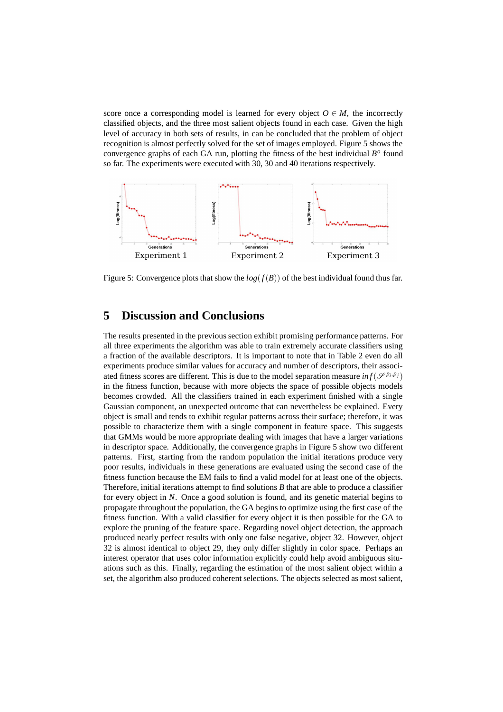score once a corresponding model is learned for every object  $O \in M$ , the incorrectly classified objects, and the three most salient objects found in each case. Given the high level of accuracy in both sets of results, in can be concluded that the problem of object recognition is almost perfectly solved for the set of images employed. Figure 5 shows the convergence graphs of each GA run, plotting the fitness of the best individual  $B<sup>o</sup>$  found so far. The experiments were executed with 30, 30 and 40 iterations respectively.



Figure 5: Convergence plots that show the  $log(f(B))$  of the best individual found thus far.

# **5 Discussion and Conclusions**

The results presented in the previous section exhibit promising performance patterns. For all three experiments the algorithm was able to train extremely accurate classifiers using a fraction of the available descriptors. It is important to note that in Table 2 even do all experiments produce similar values for accuracy and number of descriptors, their associated fitness scores are different. This is due to the model separation measure  $inf(\mathcal{S}^{p_i,p_j})$ in the fitness function, because with more objects the space of possible objects models becomes crowded. All the classifiers trained in each experiment finished with a single Gaussian component, an unexpected outcome that can nevertheless be explained. Every object is small and tends to exhibit regular patterns across their surface; therefore, it was possible to characterize them with a single component in feature space. This suggests that GMMs would be more appropriate dealing with images that have a larger variations in descriptor space. Additionally, the convergence graphs in Figure 5 show two different patterns. First, starting from the random population the initial iterations produce very poor results, individuals in these generations are evaluated using the second case of the fitness function because the EM fails to find a valid model for at least one of the objects. Therefore, initial iterations attempt to find solutions *B* that are able to produce a classifier for every object in *N*. Once a good solution is found, and its genetic material begins to propagate throughout the population, the GA begins to optimize using the first case of the fitness function. With a valid classifier for every object it is then possible for the GA to explore the pruning of the feature space. Regarding novel object detection, the approach produced nearly perfect results with only one false negative, object 32. However, object 32 is almost identical to object 29, they only differ slightly in color space. Perhaps an interest operator that uses color information explicitly could help avoid ambiguous situations such as this. Finally, regarding the estimation of the most salient object within a set, the algorithm also produced coherent selections. The objects selected as most salient,